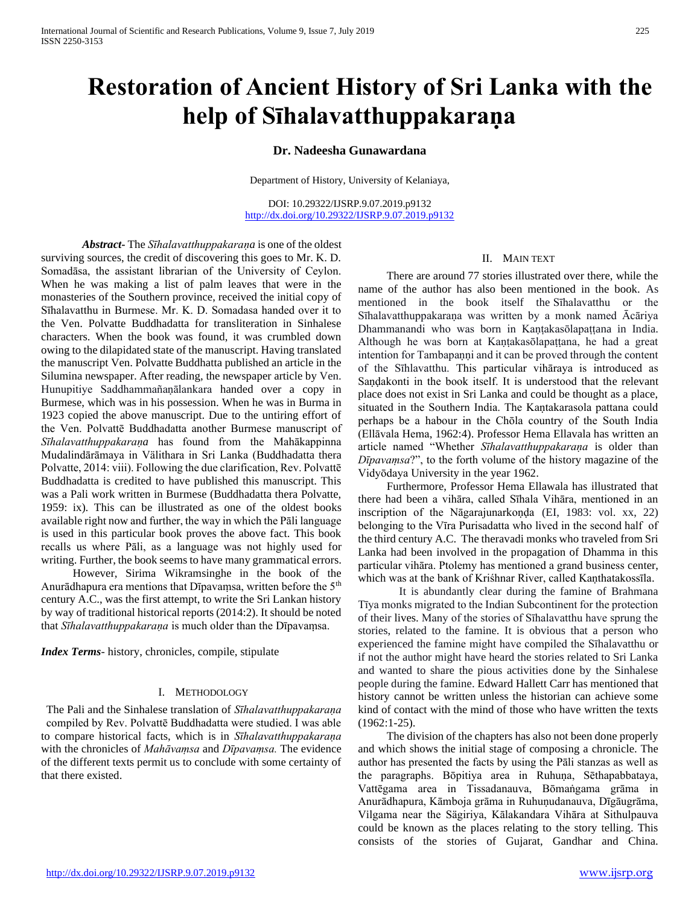# **Restoration of Ancient History of Sri Lanka with the help of Sīhalavatthuppakaraṇa**

# **Dr. Nadeesha Gunawardana**

Department of History, University of Kelaniaya,

DOI: 10.29322/IJSRP.9.07.2019.p9132 <http://dx.doi.org/10.29322/IJSRP.9.07.2019.p9132>

*Abstract***-** The *Sīhalavatthuppakaraṇa* is one of the oldest surviving sources, the credit of discovering this goes to Mr. K. D. Somadāsa, the assistant librarian of the University of Ceylon. When he was making a list of palm leaves that were in the monasteries of the Southern province, received the initial copy of Sīhalavatthu in Burmese. Mr. K. D. Somadasa handed over it to the Ven. Polvatte Buddhadatta for transliteration in Sinhalese characters. When the book was found, it was crumbled down owing to the dilapidated state of the manuscript. Having translated the manuscript Ven. Polvatte Buddhatta published an article in the Silumina newspaper. After reading, the newspaper article by Ven. Hunupitiye Saddhammañaṇālankara handed over a copy in Burmese, which was in his possession. When he was in Burma in 1923 copied the above manuscript. Due to the untiring effort of the Ven. Polvattē Buddhadatta another Burmese manuscript of *Sīhalavatthuppakaraṇa* has found from the Mahākappinna Mudalindārāmaya in Välithara in Sri Lanka (Buddhadatta thera Polvatte, 2014: viii). Following the due clarification, Rev. Polvattē Buddhadatta is credited to have published this manuscript. This was a Pali work written in Burmese (Buddhadatta thera Polvatte, 1959: ix). This can be illustrated as one of the oldest books available right now and further, the way in which the Pāli language is used in this particular book proves the above fact. This book recalls us where Pāli, as a language was not highly used for writing. Further, the book seems to have many grammatical errors.

 However, Sirima Wikramsinghe in the book of the Anurādhapura era mentions that Dīpavaṃsa, written before the 5<sup>th</sup> century A.C., was the first attempt, to write the Sri Lankan history by way of traditional historical reports (2014:2). It should be noted that *Sīhalavatthuppakaraṇa* is much older than the Dīpavaṃsa.

*Index Terms*- history, chronicles, compile, stipulate

## I. METHODOLOGY

The Pali and the Sinhalese translation of *Sīhalavatthuppakaraṇa* compiled by Rev. Polvattē Buddhadatta were studied. I was able to compare historical facts, which is in *Sīhalavatthuppakaraṇa* with the chronicles of *Mahāvaṃsa* and *Dīpavaṃsa.* The evidence of the different texts permit us to conclude with some certainty of that there existed.

## II. MAIN TEXT

 There are around 77 stories illustrated over there, while the name of the author has also been mentioned in the book. As mentioned in the book itself the Sīhalavatthu or the Sīhalavatthuppakaraṇa was written by a monk named Ācāriya Dhammanandi who was born in Kaṇṭakasōlapaṭṭana in India. Although he was born at Kaṇṭakasōlapaṭṭana, he had a great intention for Tambapaṇṇi and it can be proved through the content of the Sīhlavatthu. This particular vihāraya is introduced as Saṇḍakonti in the book itself. It is understood that the relevant place does not exist in Sri Lanka and could be thought as a place, situated in the Southern India. The Kaṇtakarasola pattana could perhaps be a habour in the Chōla country of the South India (Ellāvala Hema, 1962:4). Professor Hema Ellavala has written an article named "Whether *Sīhalavatthuppakaraṇa* is older than *Dīpavaṃsa*?", to the forth volume of the history magazine of the Vidyōdaya University in the year 1962.

 Furthermore, Professor Hema Ellawala has illustrated that there had been a vihāra, called Sīhala Vihāra, mentioned in an inscription of the Nāgarajunarkoṇḍa (EI, 1983: vol. xx, 22) belonging to the Vīra Purisadatta who lived in the second half of the third century A.C. The theravadi monks who traveled from Sri Lanka had been involved in the propagation of Dhamma in this particular vihāra. Ptolemy has mentioned a grand business center, which was at the bank of Kriśhnar River, called Kanthatakossīla.

It is abundantly clear during the famine of Brahmana Tīya monks migrated to the Indian Subcontinent for the protection of their lives. Many of the stories of Sīhalavatthu have sprung the stories, related to the famine. It is obvious that a person who experienced the famine might have compiled the Sīhalavatthu or if not the author might have heard the stories related to Sri Lanka and wanted to share the pious activities done by the Sinhalese people during the famine. Edward Hallett Carr has mentioned that history cannot be written unless the historian can achieve some kind of contact with the mind of those who have written the texts (1962:1-25).

 The division of the chapters has also not been done properly and which shows the initial stage of composing a chronicle. The author has presented the facts by using the Pāli stanzas as well as the paragraphs. Bōpitiya area in Ruhuṇa, Sēthapabbataya, Vattēgama area in Tissadanauva, Bōmaṅgama grāma in Anurādhapura, Kāmboja grāma in Ruhuṇudanauva, Dīgāugrāma, Vilgama near the Sägiriya, Kālakandara Vihāra at Sithulpauva could be known as the places relating to the story telling. This consists of the stories of Gujarat, Gandhar and China.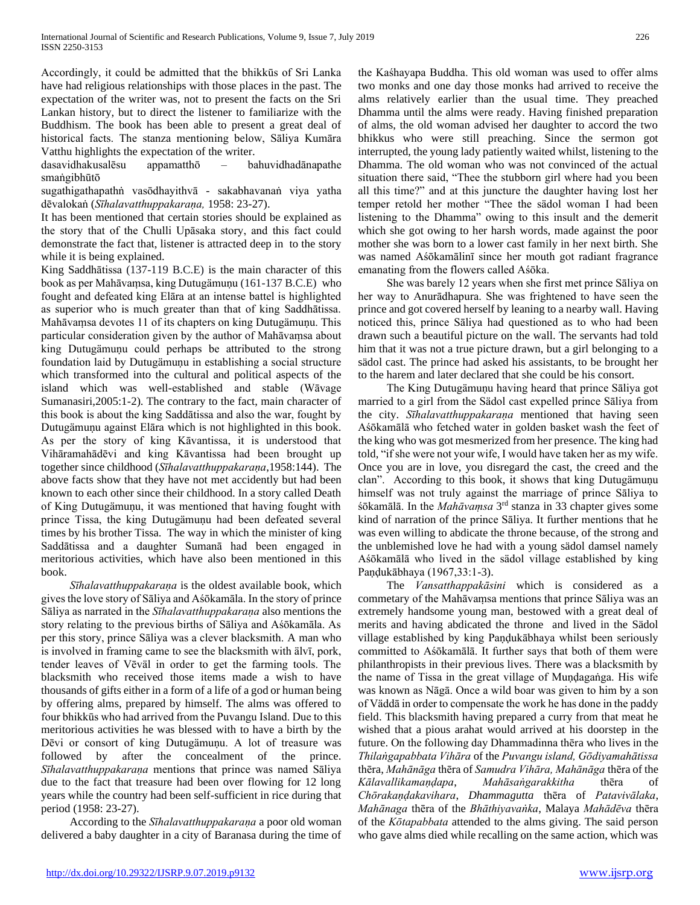Accordingly, it could be admitted that the bhikkūs of Sri Lanka have had religious relationships with those places in the past. The expectation of the writer was, not to present the facts on the Sri Lankan history, but to direct the listener to familiarize with the Buddhism. The book has been able to present a great deal of historical facts. The stanza mentioning below, Sāliya Kumāra Vatthu highlights the expectation of the writer.

dasavidhakusalēsu appamatthō – bahuvidhadānapathe smaṅgibhūtō

sugathigathapathṅ vasōdhayithvā - sakabhavanaṅ viya yatha dēvalokaṅ (*Sīhalavatthuppakaraṇa,* 1958: 23-27).

It has been mentioned that certain stories should be explained as the story that of the Chulli Upāsaka story, and this fact could demonstrate the fact that, listener is attracted deep in to the story while it is being explained.

King Saddhātissa (137-119 B.C.E) is the main character of this book as per Mahāvaṃsa, king Dutugämuṇu (161-137 B.C.E) who fought and defeated king Elāra at an intense battel is highlighted as superior who is much greater than that of king Saddhātissa. Mahāvaṃsa devotes 11 of its chapters on king Dutugämuṇu. This particular consideration given by the author of Mahāvaṃsa about king Dutugämuṇu could perhaps be attributed to the strong foundation laid by Dutugämuṇu in establishing a social structure which transformed into the cultural and political aspects of the island which was well-established and stable (Wāvage Sumanasiri,2005:1-2). The contrary to the fact, main character of this book is about the king Saddātissa and also the war, fought by Dutugämuṇu against Elāra which is not highlighted in this book. As per the story of king Kāvantissa, it is understood that Vihāramahādēvi and king Kāvantissa had been brought up together since childhood (*Sīhalavatthuppakaraṇa*,1958:144). The above facts show that they have not met accidently but had been known to each other since their childhood. In a story called Death of King Dutugämuṇu, it was mentioned that having fought with prince Tissa, the king Dutugämuṇu had been defeated several times by his brother Tissa. The way in which the minister of king Saddātissa and a daughter Sumanā had been engaged in meritorious activities, which have also been mentioned in this book.

 *Sīhalavatthuppakaraṇa* is the oldest available book, which gives the love story of Sāliya and Aśōkamāla. In the story of prince Sāliya as narrated in the *Sīhalavatthuppakaraṇa* also mentions the story relating to the previous births of Sāliya and Aśōkamāla. As per this story, prince Sāliya was a clever blacksmith. A man who is involved in framing came to see the blacksmith with älvī, pork, tender leaves of Vēväl in order to get the farming tools. The blacksmith who received those items made a wish to have thousands of gifts either in a form of a life of a god or human being by offering alms, prepared by himself. The alms was offered to four bhikkūs who had arrived from the Puvangu Island. Due to this meritorious activities he was blessed with to have a birth by the Dēvi or consort of king Dutugämunu. A lot of treasure was followed by after the concealment of the prince. *Sīhalavatthuppakaraṇa* mentions that prince was named Sāliya due to the fact that treasure had been over flowing for 12 long years while the country had been self-sufficient in rice during that period (1958: 23-27).

 According to the *Sīhalavatthuppakaraṇa* a poor old woman delivered a baby daughter in a city of Baranasa during the time of

the Kaśhayapa Buddha. This old woman was used to offer alms two monks and one day those monks had arrived to receive the alms relatively earlier than the usual time. They preached Dhamma until the alms were ready. Having finished preparation of alms, the old woman advised her daughter to accord the two bhikkus who were still preaching. Since the sermon got interrupted, the young lady patiently waited whilst, listening to the Dhamma. The old woman who was not convinced of the actual situation there said, "Thee the stubborn girl where had you been all this time?" and at this juncture the daughter having lost her temper retold her mother "Thee the sädol woman I had been listening to the Dhamma" owing to this insult and the demerit which she got owing to her harsh words, made against the poor mother she was born to a lower cast family in her next birth. She was named Aśōkamālinī since her mouth got radiant fragrance emanating from the flowers called Aśōka.

 She was barely 12 years when she first met prince Sāliya on her way to Anurādhapura. She was frightened to have seen the prince and got covered herself by leaning to a nearby wall. Having noticed this, prince Sāliya had questioned as to who had been drawn such a beautiful picture on the wall. The servants had told him that it was not a true picture drawn, but a girl belonging to a sädol cast. The prince had asked his assistants, to be brought her to the harem and later declared that she could be his consort.

 The King Dutugämuṇu having heard that prince Sāliya got married to a girl from the Sädol cast expelled prince Sāliya from the city. *Sīhalavatthuppakaraṇa* mentioned that having seen Aśōkamālā who fetched water in golden basket wash the feet of the king who was got mesmerized from her presence. The king had told, "if she were not your wife, I would have taken her as my wife. Once you are in love, you disregard the cast, the creed and the clan". According to this book, it shows that king Dutugämuṇu himself was not truly against the marriage of prince Sāliya to śōkamālā. In the *Mahāvaṃsa* 3<sup>rd</sup> stanza in 33 chapter gives some kind of narration of the prince Sāliya. It further mentions that he was even willing to abdicate the throne because, of the strong and the unblemished love he had with a young sädol damsel namely Aśōkamālā who lived in the sädol village established by king Paṇḍukābhaya (1967,33:1-3).

 The *Vansatthappakāsini* which is considered as a commetary of the Mahāvaṃsa mentions that prince Sāliya was an extremely handsome young man, bestowed with a great deal of merits and having abdicated the throne and lived in the Sädol village established by king Paṇḍukābhaya whilst been seriously committed to Aśōkamālā. It further says that both of them were philanthropists in their previous lives. There was a blacksmith by the name of Tissa in the great village of Muṇḍagaṅga. His wife was known as Nāgā. Once a wild boar was given to him by a son of Väddā in order to compensate the work he has done in the paddy field. This blacksmith having prepared a curry from that meat he wished that a pious arahat would arrived at his doorstep in the future. On the following day Dhammadinna thēra who lives in the *Thilaṅgapabbata Vihāra* of the *Puvangu island, Gōdiyamahātissa* thēra, *Mahānāga* thēra of *Samudra Vihāra, Mahānāga* thēra of the *Kālavallikamaṇḍapa*, *Mahāsaṅgarakkitha* thēra of *Chōrakaṇḍakavihara*, *Dhammagutta* thēra of *Patavivālaka*, *Mahānaga* thēra of the *Bhāthiyavaṅka*, Malaya *Mahādēva* thēra of the *Kōtapabbata* attended to the alms giving. The said person who gave alms died while recalling on the same action, which was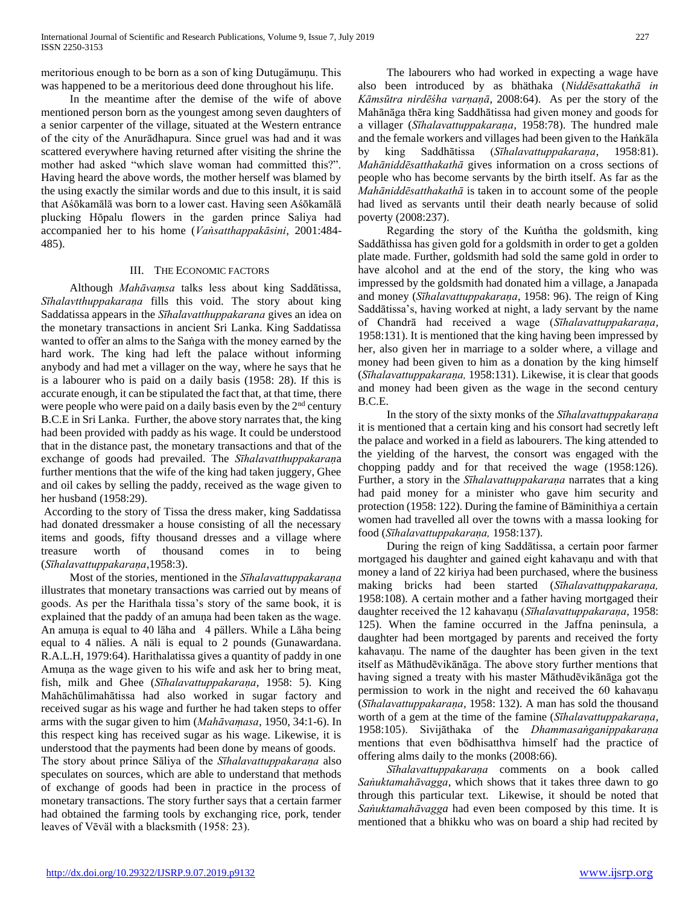meritorious enough to be born as a son of king Dutugämuṇu. This was happened to be a meritorious deed done throughout his life.

 In the meantime after the demise of the wife of above mentioned person born as the youngest among seven daughters of a senior carpenter of the village, situated at the Western entrance of the city of the Anurādhapura. Since gruel was had and it was scattered everywhere having returned after visiting the shrine the mother had asked "which slave woman had committed this?". Having heard the above words, the mother herself was blamed by the using exactly the similar words and due to this insult, it is said that Aśōkamālā was born to a lower cast. Having seen Aśōkamālā plucking Hōpalu flowers in the garden prince Saliya had accompanied her to his home (*Vaṅsatthappakāsini,* 2001:484- 485).

## III. THE ECONOMIC FACTORS

 Although *Mahāvaṃsa* talks less about king Saddātissa, *Sīhalavtthuppakaraṇa* fills this void. The story about king Saddatissa appears in the *Sīhalavatthuppakarana* gives an idea on the monetary transactions in ancient Sri Lanka. King Saddatissa wanted to offer an alms to the Saṅga with the money earned by the hard work. The king had left the palace without informing anybody and had met a villager on the way, where he says that he is a labourer who is paid on a daily basis (1958: 28). If this is accurate enough, it can be stipulated the fact that, at that time, there were people who were paid on a daily basis even by the 2<sup>nd</sup> century B.C.E in Sri Lanka. Further, the above story narrates that, the king had been provided with paddy as his wage. It could be understood that in the distance past, the monetary transactions and that of the exchange of goods had prevailed. The *Sīhalavatthuppakaraṇ*a further mentions that the wife of the king had taken juggery, Ghee and oil cakes by selling the paddy, received as the wage given to her husband (1958:29).

According to the story of Tissa the dress maker, king Saddatissa had donated dressmaker a house consisting of all the necessary items and goods, fifty thousand dresses and a village where treasure worth of thousand comes in to being (*Sīhalavattuppakaraṇa*,1958:3).

 Most of the stories, mentioned in the *Sīhalavattuppakaraṇa*  illustrates that monetary transactions was carried out by means of goods. As per the Harithala tissa's story of the same book, it is explained that the paddy of an amuṇa had been taken as the wage. An amuṇa is equal to 40 lāha and 4 pällers. While a Lāha being equal to 4 nälies. A näli is equal to 2 pounds (Gunawardana. R.A.L.H, 1979:64). Harithalatissa gives a quantity of paddy in one Amuna as the wage given to his wife and ask her to bring meat, fish, milk and Ghee (*Sīhalavattuppakaraṇa,* 1958: 5). King Mahāchūlimahātissa had also worked in sugar factory and received sugar as his wage and further he had taken steps to offer arms with the sugar given to him (*Mahāvaṃasa,* 1950, 34:1-6). In this respect king has received sugar as his wage. Likewise, it is understood that the payments had been done by means of goods.

The story about prince Sāliya of the *Sīhalavattuppakaraṇa* also speculates on sources, which are able to understand that methods of exchange of goods had been in practice in the process of monetary transactions. The story further says that a certain farmer had obtained the farming tools by exchanging rice, pork, tender leaves of Vēväl with a blacksmith (1958: 23).

 The labourers who had worked in expecting a wage have also been introduced by as bhäthaka (*Niddēsattakathā in Kāmsūtra nirdēśha varṇaṇā*, 2008:64). As per the story of the Mahānāga thēra king Saddhātissa had given money and goods for a villager (*Sīhalavattuppakaraṇa,* 1958:78). The hundred male and the female workers and villages had been given to the Haṅkāla by king Saddhātissa (*Sīhalavattuppakaraṇa,* 1958:81). *Mahāniddēsatthakathā* gives information on a cross sections of people who has become servants by the birth itself. As far as the *Mahāniddēsatthakathā* is taken in to account some of the people had lived as servants until their death nearly because of solid poverty (2008:237).

 Regarding the story of the Kuṅtha the goldsmith, king Saddāthissa has given gold for a goldsmith in order to get a golden plate made. Further, goldsmith had sold the same gold in order to have alcohol and at the end of the story, the king who was impressed by the goldsmith had donated him a village, a Janapada and money (*Sīhalavattuppakaraṇa,* 1958: 96). The reign of King Saddātissa's, having worked at night, a lady servant by the name of Chandrā had received a wage (*Sīhalavattuppakaraṇa,* 1958:131). It is mentioned that the king having been impressed by her, also given her in marriage to a solder where, a village and money had been given to him as a donation by the king himself (*Sīhalavattuppakaraṇa,* 1958:131). Likewise, it is clear that goods and money had been given as the wage in the second century B.C.E.

 In the story of the sixty monks of the *Sīhalavattuppakaraṇa* it is mentioned that a certain king and his consort had secretly left the palace and worked in a field as labourers. The king attended to the yielding of the harvest, the consort was engaged with the chopping paddy and for that received the wage (1958:126). Further, a story in the *Sīhalavattuppakaraṇa* narrates that a king had paid money for a minister who gave him security and protection (1958: 122). During the famine of Bäminithiya a certain women had travelled all over the towns with a massa looking for food (*Sīhalavattuppakaraṇa,* 1958:137).

 During the reign of king Saddātissa, a certain poor farmer mortgaged his daughter and gained eight kahavaṇu and with that money a land of 22 kiriya had been purchased, where the business making bricks had been started (*Sīhalavattuppakaraṇa,* 1958:108). A certain mother and a father having mortgaged their daughter received the 12 kahavaṇu (*Sīhalavattuppakaraṇa,* 1958: 125). When the famine occurred in the Jaffna peninsula, a daughter had been mortgaged by parents and received the forty kahavaṇu. The name of the daughter has been given in the text itself as Māthudēvikānāga. The above story further mentions that having signed a treaty with his master Māthudēvikānāga got the permission to work in the night and received the 60 kahavaṇu (*Sīhalavattuppakaraṇa,* 1958: 132). A man has sold the thousand worth of a gem at the time of the famine (*Sīhalavattuppakaraṇa,* 1958:105). Sivijāthaka of the *Dhammasaṅganippakaraṇa* mentions that even bōdhisatthva himself had the practice of offering alms daily to the monks (2008:66).

 *Sīhalavattuppakaraṇa* comments on a book called *Saṅuktamahāvagga*, which shows that it takes three dawn to go through this particular text. Likewise, it should be noted that *Saṅuktamahāvagga* had even been composed by this time. It is mentioned that a bhikku who was on board a ship had recited by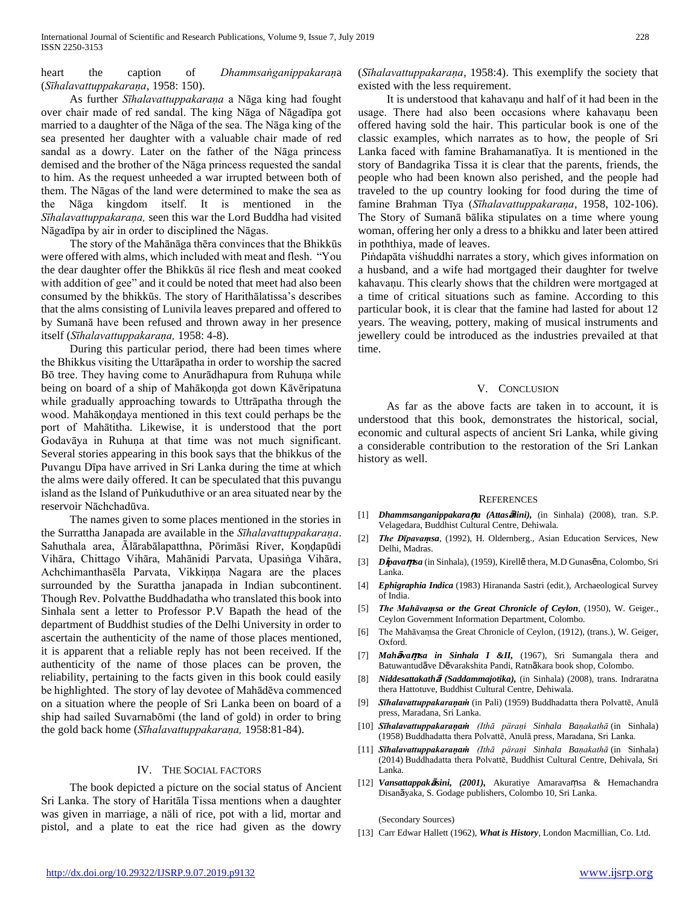## heart the caption of *Dhammsaṅganippakaraṇ*a (*Sīhalavattuppakaraṇa,* 1958: 150).

 As further *Sīhalavattuppakaraṇa* a Nāga king had fought over chair made of red sandal. The king Nāga of Nāgadīpa got married to a daughter of the Nāga of the sea. The Nāga king of the sea presented her daughter with a valuable chair made of red sandal as a dowry. Later on the father of the Nāga princess demised and the brother of the Nāga princess requested the sandal to him. As the request unheeded a war irrupted between both of them. The Nāgas of the land were determined to make the sea as the Nāga kingdom itself. It is mentioned in the *Sīhalavattuppakaraṇa,* seen this war the Lord Buddha had visited Nāgadīpa by air in order to disciplined the Nāgas.

 The story of the Mahānāga thēra convinces that the Bhikkūs were offered with alms, which included with meat and flesh. "You the dear daughter offer the Bhikkūs äl rice flesh and meat cooked with addition of gee" and it could be noted that meet had also been consumed by the bhikkūs. The story of Harithālatissa's describes that the alms consisting of Lunivila leaves prepared and offered to by Sumanā have been refused and thrown away in her presence itself (*Sīhalavattuppakaraṇa,* 1958: 4-8).

 During this particular period, there had been times where the Bhikkus visiting the Uttarāpatha in order to worship the sacred Bō tree. They having come to Anurādhapura from Ruhuṇa while being on board of a ship of Mahākoṇḍa got down Kāvēripatuna while gradually approaching towards to Uttrāpatha through the wood. Mahākoṇḍaya mentioned in this text could perhaps be the port of Mahātitha. Likewise, it is understood that the port Godavāya in Ruhuṇa at that time was not much significant. Several stories appearing in this book says that the bhikkus of the Puvangu Dīpa have arrived in Sri Lanka during the time at which the alms were daily offered. It can be speculated that this puvangu island as the Island of Puṅkuduthive or an area situated near by the reservoir Nāchchadūva.

 The names given to some places mentioned in the stories in the Surrattha Janapada are available in the *Sīhalavattuppakaraṇa*. Sahuthala area, Ālārabālapatthna, Pōrimāsi River, Koṇḍapūdi Vihāra, Chittago Vihāra, Mahānidi Parvata, Upasiṅga Vihāra, Achchimanthasēla Parvata, Vikkiṇṇa Nagara are the places surrounded by the Surattha janapada in Indian subcontinent. Though Rev. Polvatthe Buddhadatha who translated this book into Sinhala sent a letter to Professor P.V Bapath the head of the department of Buddhist studies of the Delhi University in order to ascertain the authenticity of the name of those places mentioned, it is apparent that a reliable reply has not been received. If the authenticity of the name of those places can be proven, the reliability, pertaining to the facts given in this book could easily be highlighted. The story of lay devotee of Mahādēva commenced on a situation where the people of Sri Lanka been on board of a ship had sailed Suvarnabōmi (the land of gold) in order to bring the gold back home (*Sīhalavattuppakaraṇa,* 1958:81-84).

### IV. THE SOCIAL FACTORS

 The book depicted a picture on the social status of Ancient Sri Lanka. The story of Haritāla Tissa mentions when a daughter was given in marriage, a näli of rice, pot with a lid, mortar and pistol, and a plate to eat the rice had given as the dowry

(*Sīhalavattuppakaraṇa,* 1958:4). This exemplify the society that existed with the less requirement.

It is understood that kahavanu and half of it had been in the usage. There had also been occasions where kahavanu been offered having sold the hair. This particular book is one of the classic examples, which narrates as to how, the people of Sri Lanka faced with famine Brahamanatīya. It is mentioned in the story of Bandagrika Tissa it is clear that the parents, friends, the people who had been known also perished, and the people had traveled to the up country looking for food during the time of famine Brahman Tīya (*Sīhalavattuppakaraṇa,* 1958, 102-106). The Story of Sumanā bālika stipulates on a time where young woman, offering her only a dress to a bhikku and later been attired in poththiya, made of leaves.

Piṅdapāta viśhuddhi narrates a story, which gives information on a husband, and a wife had mortgaged their daughter for twelve kahavaṇu. This clearly shows that the children were mortgaged at a time of critical situations such as famine. According to this particular book, it is clear that the famine had lasted for about 12 years. The weaving, pottery, making of musical instruments and jewellery could be introduced as the industries prevailed at that time.

### V. CONCLUSION

 As far as the above facts are taken in to account, it is understood that this book, demonstrates the historical, social, economic and cultural aspects of ancient Sri Lanka, while giving a considerable contribution to the restoration of the Sri Lankan history as well.

### REFERENCES

- [1] *Dhammsanganippakara***ṇ***a (Attas***ā***lini),* (in Sinhala) (2008), tran. S.P. Velagedara, Buddhist Cultural Centre, Dehiwala.
- [2] *The Dīpavaṃsa,* (1992), H. Oldernberg., Asian Education Services, New Delhi, Madras.
- [3] *D***ī***pava***ṃ***sa* (in Sinhala), (1959), Kirellē thera, M.D Gunasēna, Colombo, Sri Lanka.
- [4] *Ephigraphia Indica* (1983) Hirananda Sastri (edit.), Archaeological Survey of India.
- [5] *The Mahāvaṃsa or the Great Chronicle of Ceylon,* (1950), W. Geiger., Ceylon Government Information Department, Colombo.
- [6] The Mahāvaṃsa the Great Chronicle of Ceylon, (1912), (trans.), W. Geiger, Oxford.
- [7] *Mah***ā***va***ṃ***sa in Sinhala I &II,* (1967), Sri Sumangala thera and Batuwantudāve Dēvarakshita Pandi, Ratnākara book shop, Colombo.
- [8] *Niddesattakath***ā** *(Saddammajotika),* (in Sinhala) (2008), trans. Indraratna thera Hattotuve, Buddhist Cultural Centre, Dehiwala.
- [9] *Sīhalavattuppakaraṇaṁ* (in Pali) (1959) Buddhadatta thera Polvattē, Anulā press, Maradana, Sri Lanka.
- [10] *Sīhalavattuppakaraṇaṁ (Ithā päraṇi Sinhala Baṇakathā* (in Sinhala) (1958) Buddhadatta thera Polvattē, Anulā press, Maradana, Sri Lanka.
- [11] *Sīhalavattuppakaraṇaṁ (Ithā päraṇi Sinhala Baṇakathā* (in Sinhala) (2014) Buddhadatta thera Polvattē, Buddhist Cultural Centre, Dehivala, Sri Lanka.
- [12] *Vansattappak***ā***sini, (2001),* Akuratiye Amaravaṃsa & Hemachandra Disanāyaka, S. Godage publishers, Colombo 10, Sri Lanka.

(Secondary Sources)

[13] Carr Edwar Hallett (1962), *What is History*, London Macmillian, Co. Ltd.